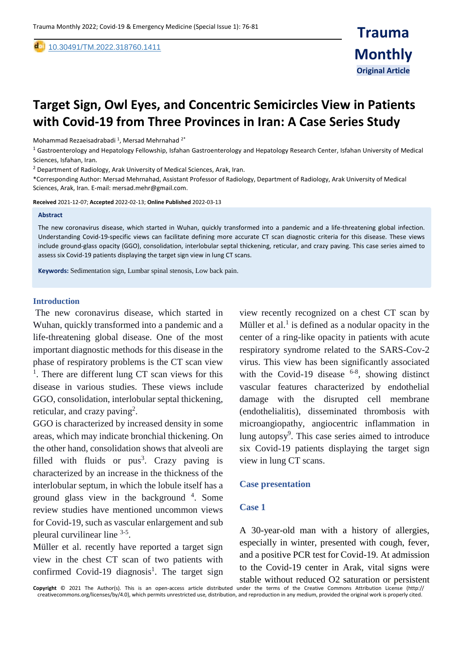[10.30491/TM.2022.318760.1411](https://dx.doi.org/10.30491/tm.2021.264991.1218)

# **Target Sign, Owl Eyes, and Concentric Semicircles View in Patients with Covid-19 from Three Provinces in Iran: A Case Series Study**

Mohammad Rezaeisadrabadi <sup>1</sup>, Mersad Mehrnahad  $2^*$ 

 $1$  Gastroenterology and Hepatology Fellowship, Isfahan Gastroenterology and Hepatology Research Center, Isfahan University of Medical Sciences, Isfahan, Iran.

<sup>2</sup> Department of Radiology, Arak University of Medical Sciences, Arak, Iran.

\*Corresponding Author: Mersad Mehrnahad, Assistant Professor of Radiology, Department of Radiology, Arak University of Medical Sciences, Arak, Iran. E-mail: mersad.mehr@gmail.com.

**Received** 2021-12-07; **Accepted** 2022-02-13; **Online Published** 2022-03-13

#### **Abstract**

,

The new coronavirus disease, which started in Wuhan, quickly transformed into a pandemic and a life-threatening global infection. Understanding Covid-19-specific views can facilitate defining more accurate CT scan diagnostic criteria for this disease. These views include ground-glass opacity (GGO), consolidation, interlobular septal thickening, reticular, and crazy paving. This case series aimed to assess six Covid-19 patients displaying the target sign view in lung CT scans.

**Keywords:** Sedimentation sign, Lumbar spinal stenosis, Low back pain.

### **Introduction**

The new coronavirus disease, which started in Wuhan, quickly transformed into a pandemic and a life-threatening global disease. One of the most important diagnostic methods for this disease in the phase of respiratory problems is the CT scan view <sup>1</sup>. There are different lung CT scan views for this disease in various studies. These views include GGO, consolidation, interlobular septal thickening, reticular, and crazy paving<sup>2</sup>.

GGO is characterized by increased density in some areas, which may indicate bronchial thickening. On the other hand, consolidation shows that alveoli are filled with fluids or  $pus<sup>3</sup>$ . Crazy paving is characterized by an increase in the thickness of the interlobular septum, in which the lobule itself has a ground glass view in the background <sup>4</sup> . Some review studies have mentioned uncommon views for Covid-19, such as vascular enlargement and sub pleural curvilinear line 3-5.

Müller et al. recently have reported a target sign view in the chest CT scan of two patients with confirmed Covid-19 diagnosis<sup>1</sup>. The target sign view recently recognized on a chest CT scan by Müller et al. $<sup>1</sup>$  is defined as a nodular opacity in the</sup> center of a ring-like opacity in patients with acute respiratory syndrome related to the SARS-Cov-2 virus. This view has been significantly associated with the Covid-19 disease  $6-8$ , showing distinct vascular features characterized by endothelial damage with the disrupted cell membrane (endothelialitis), disseminated thrombosis with microangiopathy, angiocentric inflammation in lung autopsy<sup>9</sup>. This case series aimed to introduce six Covid-19 patients displaying the target sign view in lung CT scans.

### **Case presentation**

### **Case 1**

A 30-year-old man with a history of allergies, especially in winter, presented with cough, fever, and a positive PCR test for Covid-19. At admission to the Covid-19 center in Arak, vital signs were

**Copyright** © 2021 The Author(s). This is an open-access article distributed under the terms of the Creative Commons Attribution License (http:// creativecommons.org/licenses/by/4.0), which permits unrestricted use, distribution, and reproduction in any medium, provided the original work is properly cited. stable without reduced O2 saturation or persistent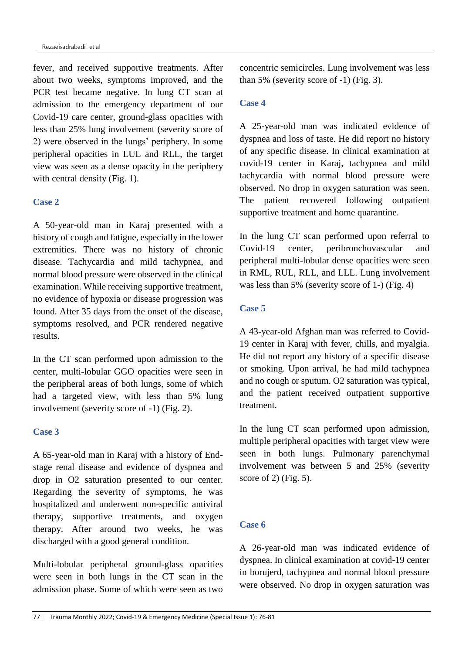fever, and received supportive treatments. After about two weeks, symptoms improved, and the PCR test became negative. In lung CT scan at admission to the emergency department of our Covid-19 care center, ground-glass opacities with less than 25% lung involvement (severity score of 2) were observed in the lungs' periphery. In some peripheral opacities in LUL and RLL, the target view was seen as a dense opacity in the periphery with central density (Fig. 1).

# **Case 2**

A 50-year-old man in Karaj presented with a history of cough and fatigue, especially in the lower extremities. There was no history of chronic disease. Tachycardia and mild tachypnea, and normal blood pressure were observed in the clinical examination. While receiving supportive treatment, no evidence of hypoxia or disease progression was found. After 35 days from the onset of the disease, symptoms resolved, and PCR rendered negative results.

In the CT scan performed upon admission to the center, multi-lobular GGO opacities were seen in the peripheral areas of both lungs, some of which had a targeted view, with less than 5% lung involvement (severity score of -1) (Fig. 2).

# **Case 3**

A 65-year-old man in Karaj with a history of Endstage renal disease and evidence of dyspnea and drop in O2 saturation presented to our center. Regarding the severity of symptoms, he was hospitalized and underwent non-specific antiviral therapy, supportive treatments, and oxygen therapy. After around two weeks, he was discharged with a good general condition.

Multi-lobular peripheral ground-glass opacities were seen in both lungs in the CT scan in the admission phase. Some of which were seen as two

concentric semicircles. Lung involvement was less than 5% (severity score of -1) (Fig. 3).

# **Case 4**

A 25-year-old man was indicated evidence of dyspnea and loss of taste. He did report no history of any specific disease. In clinical examination at covid-19 center in Karaj, tachypnea and mild tachycardia with normal blood pressure were observed. No drop in oxygen saturation was seen. The patient recovered following outpatient supportive treatment and home quarantine.

In the lung CT scan performed upon referral to Covid-19 center, peribronchovascular and peripheral multi-lobular dense opacities were seen in RML, RUL, RLL, and LLL. Lung involvement was less than 5% (severity score of 1-) (Fig. 4)

# **Case 5**

A 43-year-old Afghan man was referred to Covid-19 center in Karaj with fever, chills, and myalgia. He did not report any history of a specific disease or smoking. Upon arrival, he had mild tachypnea and no cough or sputum. O2 saturation was typical, and the patient received outpatient supportive treatment.

In the lung CT scan performed upon admission, multiple peripheral opacities with target view were seen in both lungs. Pulmonary parenchymal involvement was between 5 and 25% (severity score of 2) (Fig. 5).

# **Case 6**

A 26-year-old man was indicated evidence of dyspnea. In clinical examination at covid-19 center in borujerd, tachypnea and normal blood pressure were observed. No drop in oxygen saturation was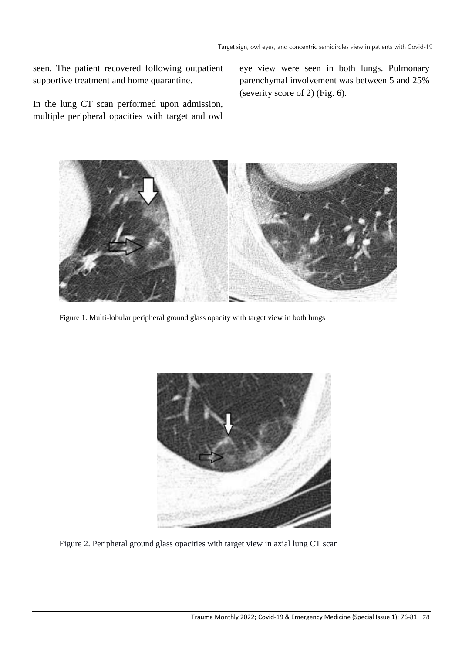seen. The patient recovered following outpatient supportive treatment and home quarantine.

In the lung CT scan performed upon admission, multiple peripheral opacities with target and owl eye view were seen in both lungs. Pulmonary parenchymal involvement was between 5 and 25% (severity score of 2) (Fig. 6).



Figure 1. Multi-lobular peripheral ground glass opacity with target view in both lungs



Figure 2. Peripheral ground glass opacities with target view in axial lung CT scan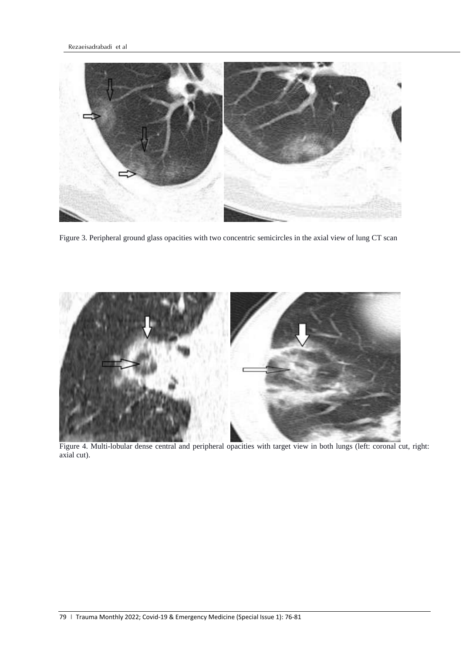

Figure 3. Peripheral ground glass opacities with two concentric semicircles in the axial view of lung CT scan



Figure 4. Multi-lobular dense central and peripheral opacities with target view in both lungs (left: coronal cut, right: axial cut).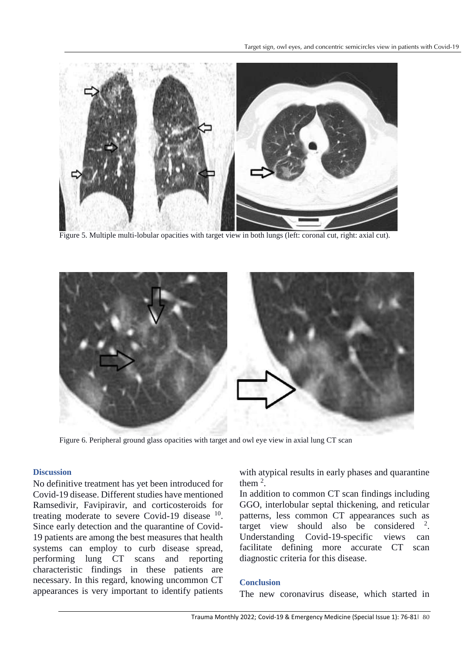

Figure 5. Multiple multi-lobular opacities with target view in both lungs (left: coronal cut, right: axial cut).



Figure 6. Peripheral ground glass opacities with target and owl eye view in axial lung CT scan

# **Discussion**

No definitive treatment has yet been introduced for Covid-19 disease. Different studies have mentioned Ramsedivir, Favipiravir, and corticosteroids for treating moderate to severe Covid-19 disease  $10$ . Since early detection and the quarantine of Covid-19 patients are among the best measures that health systems can employ to curb disease spread, performing lung CT scans and reporting characteristic findings in these patients are necessary. In this regard, knowing uncommon CT appearances is very important to identify patients with atypical results in early phases and quarantine them  $2$ .

In addition to common CT scan findings including GGO, interlobular septal thickening, and reticular patterns, less common CT appearances such as target view should also be considered  $2$ . Understanding Covid-19-specific views can facilitate defining more accurate CT scan diagnostic criteria for this disease.

## **Conclusion**

The new coronavirus disease, which started in